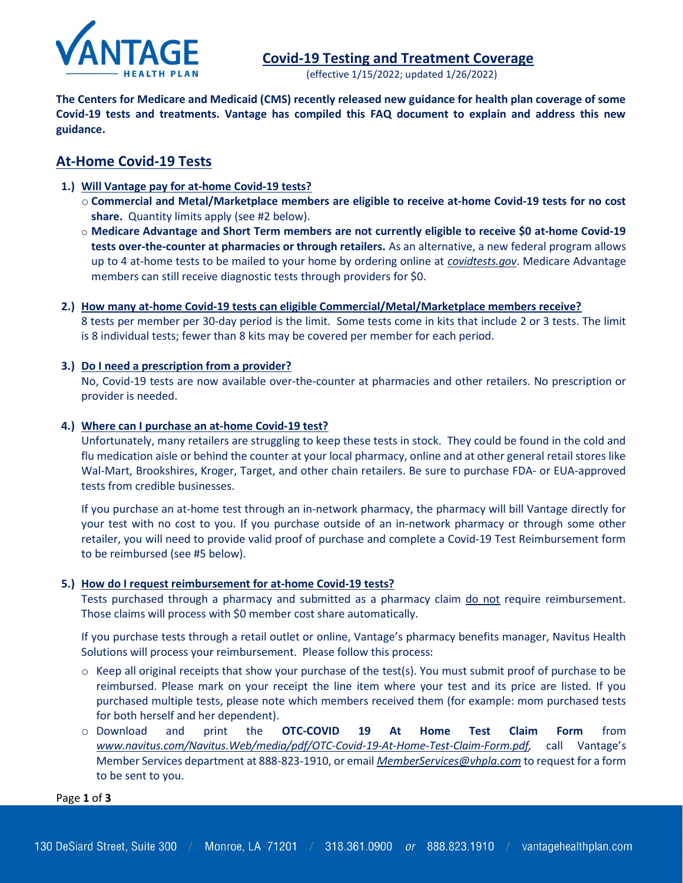

(effective 1/15/2022; updated 1/26/2022)

The Centers for Medicare and Medicaid (CMS) recently released new guidance for health plan coverage of some Covid-19 tests and treatments. Vantage has compiled this FAQ document to explain and address this new guidance.

## At-Home Covid-19 Tests

- 1.) Will Vantage pay for at-home Covid-19 tests?
	- o Commercial and Metal/Marketplace members are eligible to receive at-home Covid-19 tests for no cost share. Quantity limits apply (see #2 below).
	- o Medicare Advantage and Short Term members are not currently eligible to receive \$0 at-home Covid-19 tests over-the-counter at pharmacies or through retailers. As an alternative, a new federal program allows up to 4 at-home tests to be mailed to your home by ordering online at *covidtests.gov*. Medicare Advantage members can still receive diagnostic tests through providers for \$0.
- 2.) How many at-home Covid-19 tests can eligible Commercial/Metal/Marketplace members receive? 8 tests per member per 30-day period is the limit. Some tests come in kits that include 2 or 3 tests. The limit is 8 individual tests; fewer than 8 kits may be covered per member for each period.

## 3.) Do I need a prescription from a provider?

No, Covid-19 tests are now available over-the-counter at pharmacies and other retailers. No prescription or provider is needed.

## 4.) Where can I purchase an at-home Covid-19 test?

Unfortunately, many retailers are struggling to keep these tests in stock. They could be found in the cold and flu medication aisle or behind the counter at your local pharmacy, online and at other general retail stores like Wal-Mart, Brookshires, Kroger, Target, and other chain retailers. Be sure to purchase FDA- or EUA-approved tests from credible businesses.

If you purchase an at-home test through an in-network pharmacy, the pharmacy will bill Vantage directly for your test with no cost to you. If you purchase outside of an in-network pharmacy or through some other retailer, you will need to provide valid proof of purchase and complete a Covid-19 Test Reimbursement form to be reimbursed (see #5 below).

#### 5.) How do I request reimbursement for at-home Covid-19 tests?

Tests purchased through a pharmacy and submitted as a pharmacy claim do not require reimbursement. Those claims will process with \$0 member cost share automatically.

If you purchase tests through a retail outlet or online, Vantage's pharmacy benefits manager, Navitus Health Solutions will process your reimbursement. Please follow this process:

- $\circ$  Keep all original receipts that show your purchase of the test(s). You must submit proof of purchase to be reimbursed. Please mark on your receipt the line item where your test and its price are listed. If you purchased multiple tests, please note which members received them (for example: mom purchased tests for both herself and her dependent).
- o Download and print the OTC-COVID 19 At Home Test Claim Form from www.navitus.com/Navitus.Web/media/pdf/OTC-Covid-19-At-Home-Test-Claim-Form.pdf, call Vantage's Member Services department at 888-823-1910, or email MemberServices@vhpla.com to request for a form to be sent to you.

Page 1 of 3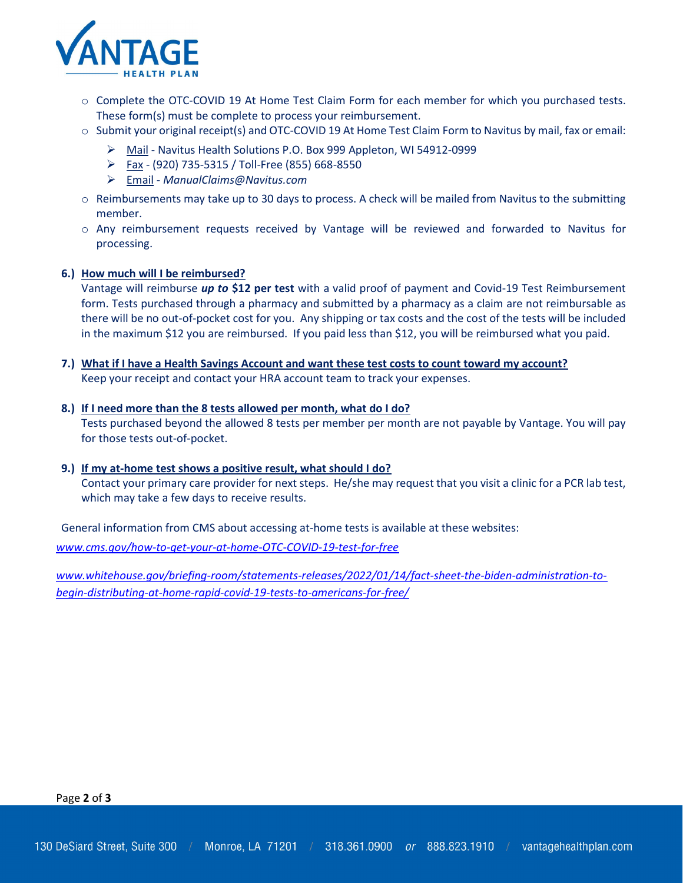

- o Complete the OTC-COVID 19 At Home Test Claim Form for each member for which you purchased tests. These form(s) must be complete to process your reimbursement.
- o Submit your original receipt(s) and OTC-COVID 19 At Home Test Claim Form to Navitus by mail, fax or email:
	- Mail Navitus Health Solutions P.O. Box 999 Appleton, WI 54912-0999
	- $\triangleright$  Fax (920) 735-5315 / Toll-Free (855) 668-8550
	- ▶ Email ManualClaims@Navitus.com
- $\circ$  Reimbursements may take up to 30 days to process. A check will be mailed from Navitus to the submitting member.
- o Any reimbursement requests received by Vantage will be reviewed and forwarded to Navitus for processing.

#### 6.) How much will I be reimbursed?

Vantage will reimburse up to \$12 per test with a valid proof of payment and Covid-19 Test Reimbursement form. Tests purchased through a pharmacy and submitted by a pharmacy as a claim are not reimbursable as there will be no out-of-pocket cost for you. Any shipping or tax costs and the cost of the tests will be included in the maximum \$12 you are reimbursed. If you paid less than \$12, you will be reimbursed what you paid.

## 7.) What if I have a Health Savings Account and want these test costs to count toward my account?

Keep your receipt and contact your HRA account team to track your expenses.

#### 8.) If I need more than the 8 tests allowed per month, what do I do?

Tests purchased beyond the allowed 8 tests per member per month are not payable by Vantage. You will pay for those tests out-of-pocket.

#### 9.) If my at-home test shows a positive result, what should I do?

Contact your primary care provider for next steps. He/she may request that you visit a clinic for a PCR lab test, which may take a few days to receive results.

General information from CMS about accessing at-home tests is available at these websites:

www.cms.gov/how-to-get-your-at-home-OTC-COVID-19-test-for-free

www.whitehouse.gov/briefing-room/statements-releases/2022/01/14/fact-sheet-the-biden-administration-tobegin-distributing-at-home-rapid-covid-19-tests-to-americans-for-free/